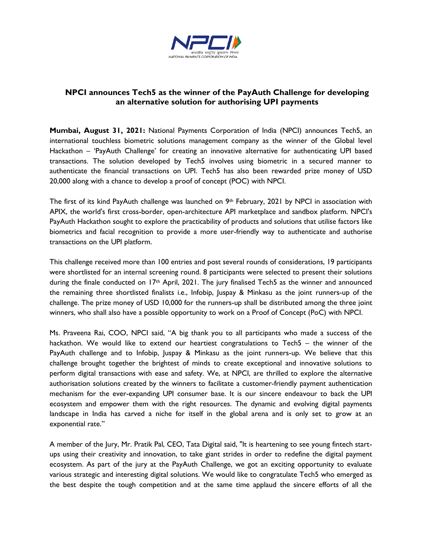

## **NPCI announces Tech5 as the winner of the PayAuth Challenge for developing an alternative solution for authorising UPI payments**

**Mumbai, August 31, 2021:** National Payments Corporation of India (NPCI) announces Tech5, an international touchless biometric solutions management company as the winner of the Global level Hackathon – 'PayAuth Challenge' for creating an innovative alternative for authenticating UPI based transactions. The solution developed by Tech5 involves using biometric in a secured manner to authenticate the financial transactions on UPI. Tech5 has also been rewarded prize money of USD 20,000 along with a chance to develop a proof of concept (POC) with NPCI.

The first of its kind PayAuth challenge was launched on 9<sup>th</sup> February, 2021 by NPCI in association with APIX, the world's first cross-border, open-architecture API marketplace and sandbox platform. NPCI's PayAuth Hackathon sought to explore the practicability of products and solutions that utilise factors like biometrics and facial recognition to provide a more user-friendly way to authenticate and authorise transactions on the UPI platform.

This challenge received more than 100 entries and post several rounds of considerations, 19 participants were shortlisted for an internal screening round. 8 participants were selected to present their solutions during the finale conducted on 17<sup>th</sup> April, 2021. The jury finalised Tech5 as the winner and announced the remaining three shortlisted finalists i.e., Infobip, Juspay & Minkasu as the joint runners-up of the challenge. The prize money of USD 10,000 for the runners-up shall be distributed among the three joint winners, who shall also have a possible opportunity to work on a Proof of Concept (PoC) with NPCI.

Ms. Praveena Rai, COO, NPCI said, "A big thank you to all participants who made a success of the hackathon. We would like to extend our heartiest congratulations to Tech5 – the winner of the PayAuth challenge and to Infobip, Juspay & Minkasu as the joint runners-up. We believe that this challenge brought together the brightest of minds to create exceptional and innovative solutions to perform digital transactions with ease and safety. We, at NPCI, are thrilled to explore the alternative authorisation solutions created by the winners to facilitate a customer-friendly payment authentication mechanism for the ever-expanding UPI consumer base. It is our sincere endeavour to back the UPI ecosystem and empower them with the right resources. The dynamic and evolving digital payments landscape in India has carved a niche for itself in the global arena and is only set to grow at an exponential rate."

A member of the Jury, Mr. Pratik Pal, CEO, Tata Digital said, "It is heartening to see young fintech startups using their creativity and innovation, to take giant strides in order to redefine the digital payment ecosystem. As part of the jury at the PayAuth Challenge, we got an exciting opportunity to evaluate various strategic and interesting digital solutions. We would like to congratulate Tech5 who emerged as the best despite the tough competition and at the same time applaud the sincere efforts of all the